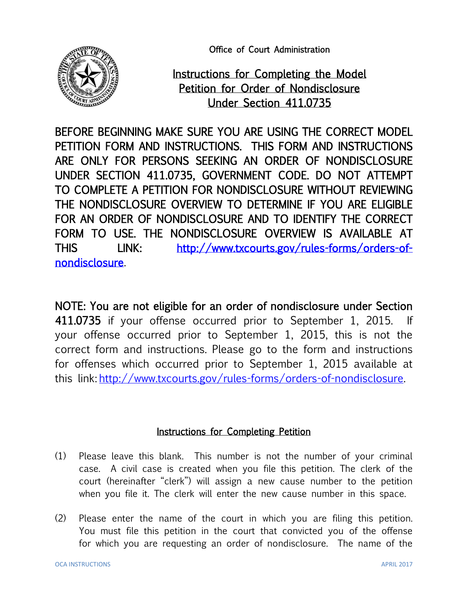Office of Court Administration



Instructions for Completing the Model Petition for Order of Nondisclosure Under Section 411.0735

BEFORE BEGINNING MAKE SURE YOU ARE USING THE CORRECT MODEL PETITION FORM AND INSTRUCTIONS. THIS FORM AND INSTRUCTIONS ARE ONLY FOR PERSONS SEEKING AN ORDER OF NONDISCLOSURE UNDER SECTION 411.0735, GOVERNMENT CODE. DO NOT ATTEMPT TO COMPLETE A PETITION FOR NONDISCLOSURE WITHOUT REVIEWING THE NONDISCLOSURE OVERVIEW TO DETERMINE IF YOU ARE ELIGIBLE FOR AN ORDER OF NONDISCLOSURE AND TO IDENTIFY THE CORRECT FORM TO USE. THE NONDISCLOSURE OVERVIEW IS AVAILABLE AT THIS LINK: [http://www.txcourts.gov/rules-forms/orders-of](http://www.txcourts.gov/rules-forms/orders-of-nondisclosure)[nondisclosure.](http://www.txcourts.gov/rules-forms/orders-of-nondisclosure)

NOTE: You are not eligible for an order of nondisclosure under Section 411.0735 if your offense occurred prior to September 1, 2015. If your offense occurred prior to September 1, 2015, this is not the correct form and instructions. Please go to the form and instructions for offenses which occurred prior to September 1, 2015 available at this link: [http://www.txcourts.gov/rules-forms/orders-of-nondisclosure.](http://www.txcourts.gov/rules-forms/orders-of-nondisclosure)

## Instructions for Completing Petition

- (1) Please leave this blank. This number is not the number of your criminal case. A civil case is created when you file this petition. The clerk of the court (hereinafter "clerk") will assign a new cause number to the petition when you file it. The clerk will enter the new cause number in this space.
- (2) Please enter the name of the court in which you are filing this petition. You must file this petition in the court that convicted you of the offense for which you are requesting an order of nondisclosure. The name of the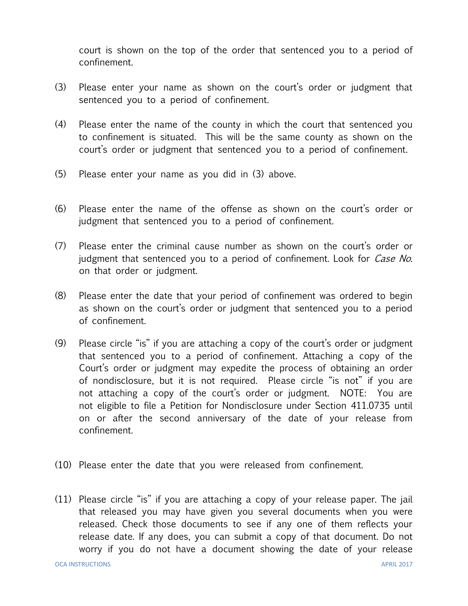court is shown on the top of the order that sentenced you to a period of confinement.

- (3) Please enter your name as shown on the court's order or judgment that sentenced you to a period of confinement.
- (4) Please enter the name of the county in which the court that sentenced you to confinement is situated. This will be the same county as shown on the court's order or judgment that sentenced you to a period of confinement.
- (5) Please enter your name as you did in (3) above.
- (6) Please enter the name of the offense as shown on the court's order or judgment that sentenced you to a period of confinement.
- (7) Please enter the criminal cause number as shown on the court's order or judgment that sentenced you to a period of confinement. Look for *Case No*. on that order or judgment.
- (8) Please enter the date that your period of confinement was ordered to begin as shown on the court's order or judgment that sentenced you to a period of confinement.
- (9) Please circle "is" if you are attaching a copy of the court's order or judgment that sentenced you to a period of confinement. Attaching a copy of the Court's order or judgment may expedite the process of obtaining an order of nondisclosure, but it is not required. Please circle "is not" if you are not attaching a copy of the court's order or judgment. NOTE: You are not eligible to file a Petition for Nondisclosure under Section 411.0735 until on or after the second anniversary of the date of your release from confinement.
- (10) Please enter the date that you were released from confinement.
- (11) Please circle "is" if you are attaching a copy of your release paper. The jail that released you may have given you several documents when you were released. Check those documents to see if any one of them reflects your release date. If any does, you can submit a copy of that document. Do not worry if you do not have a document showing the date of your release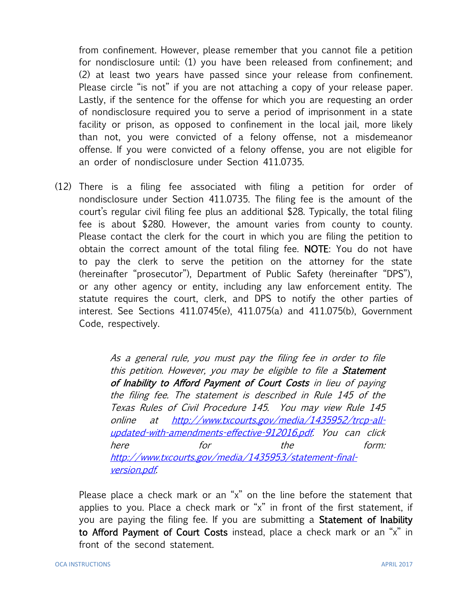from confinement. However, please remember that you cannot file a petition for nondisclosure until: (1) you have been released from confinement; and (2) at least two years have passed since your release from confinement. Please circle "is not" if you are not attaching a copy of your release paper. Lastly, if the sentence for the offense for which you are requesting an order of nondisclosure required you to serve a period of imprisonment in a state facility or prison, as opposed to confinement in the local jail, more likely than not, you were convicted of a felony offense, not a misdemeanor offense. If you were convicted of a felony offense, you are not eligible for an order of nondisclosure under Section 411.0735.

(12) There is a filing fee associated with filing a petition for order of nondisclosure under Section 411.0735. The filing fee is the amount of the court's regular civil filing fee plus an additional \$28. Typically, the total filing fee is about \$280. However, the amount varies from county to county. Please contact the clerk for the court in which you are filing the petition to obtain the correct amount of the total filing fee. NOTE: You do not have to pay the clerk to serve the petition on the attorney for the state (hereinafter "prosecutor"), Department of Public Safety (hereinafter "DPS"), or any other agency or entity, including any law enforcement entity. The statute requires the court, clerk, and DPS to notify the other parties of interest. See Sections 411.0745(e), 411.075(a) and 411.075(b), Government Code, respectively.

> As a general rule, you must pay the filing fee in order to file this petition. However, you may be eligible to file a **Statement** of Inability to Afford Payment of Court Costs in lieu of paying the filing fee. The statement is described in Rule 145 of the Texas Rules of Civil Procedure 145. You may view Rule 145 online at [http://www.txcourts.gov/media/1435952/trcp-all](http://www.txcourts.gov/media/1435952/trcp-all-updated-with-amendments-effective-912016.pdf)[updated-with-amendments-effective-912016.pdf.](http://www.txcourts.gov/media/1435952/trcp-all-updated-with-amendments-effective-912016.pdf) You can click here for the form: [http://www.txcourts.gov/media/1435953/statement-final](http://www.txcourts.gov/media/1435953/statement-final-version.pdf)[version.pdf](http://www.txcourts.gov/media/1435953/statement-final-version.pdf).

Please place a check mark or an "x" on the line before the statement that applies to you. Place a check mark or "x" in front of the first statement, if you are paying the filing fee. If you are submitting a Statement of Inability to Afford Payment of Court Costs instead, place a check mark or an "x" in front of the second statement.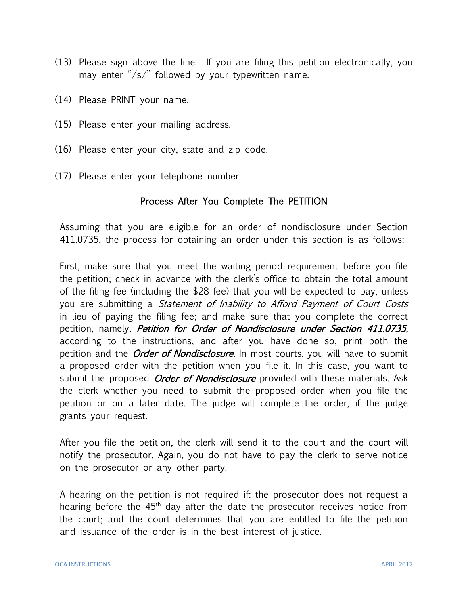- (13) Please sign above the line. If you are filing this petition electronically, you may enter " $\sqrt{s}$ " followed by your typewritten name.
- (14) Please PRINT your name.
- (15) Please enter your mailing address.
- (16) Please enter your city, state and zip code.
- (17) Please enter your telephone number.

## Process After You Complete The PETITION

Assuming that you are eligible for an order of nondisclosure under Section 411.0735, the process for obtaining an order under this section is as follows:

First, make sure that you meet the waiting period requirement before you file the petition; check in advance with the clerk's office to obtain the total amount of the filing fee (including the \$28 fee) that you will be expected to pay, unless you are submitting a Statement of Inability to Afford Payment of Court Costs in lieu of paying the filing fee; and make sure that you complete the correct petition, namely, *Petition for Order of Nondisclosure under Section 411.0735*, according to the instructions, and after you have done so, print both the petition and the *Order of Nondisclosure*. In most courts, you will have to submit a proposed order with the petition when you file it. In this case, you want to submit the proposed *Order of Nondisclosure* provided with these materials. Ask the clerk whether you need to submit the proposed order when you file the petition or on a later date. The judge will complete the order, if the judge grants your request.

After you file the petition, the clerk will send it to the court and the court will notify the prosecutor. Again, you do not have to pay the clerk to serve notice on the prosecutor or any other party.

A hearing on the petition is not required if: the prosecutor does not request a hearing before the  $45<sup>th</sup>$  day after the date the prosecutor receives notice from the court; and the court determines that you are entitled to file the petition and issuance of the order is in the best interest of justice.